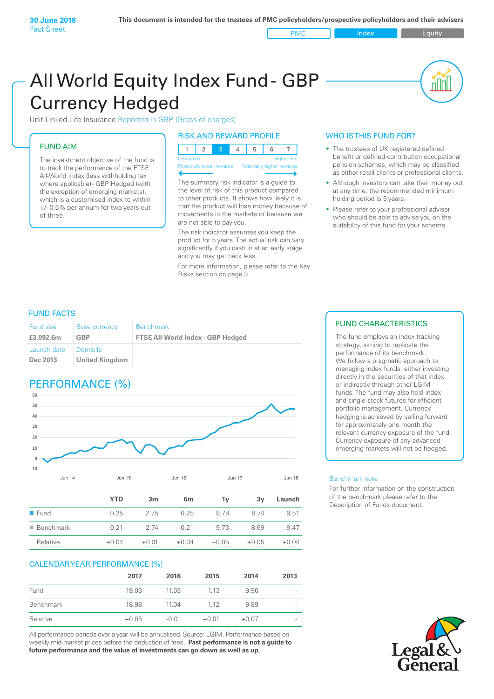PMC Index PMC Equity

# All World Equity Index Fund- GBP Currency Hedged

Unit-Linked Life Insurance Reported in GBP (Gross of charges)

### FUND AIM

The investment objective of the fund is to track the performance of the FTSE All-World Index (less withholding tax where applicable)- GBP Hedged (with the exception of emerging markets), which is a customised index to within +/- 0.5% per annum for two years out of three.

### RISK AND REWARD PROFILE

| Lower risk |  |  | <b>Higher</b> risk |
|------------|--|--|--------------------|

ntially lower rewards

The summary risk indicator is a guide to the level of risk of this product compared to other products. It shows how likely it is that the product will lose money because of movements in the markets or because we are not able to pay you.

The risk indicator assumes you keep the product for 5 years. The actual risk can vary significantly if you cash in at an early stage and you may get back less.

For more information, please refer to the Key Risks section on page 3.

### WHO IS THIS FUND FOR?

- The trustees of UK registered defined benefit or defined contribution occupational pension schemes, which may be classified as either retail clients or professional clients.
- Although investors can take their money out at any time, the recommended minimum holding period is 5 years.
- Please refer to your professional advisor who should be able to advise you on the suitability of this fund for your scheme.

### FUND FACTS

| Fund size               | <b>Base currency</b>       | <b>Benchmark</b>                         |
|-------------------------|----------------------------|------------------------------------------|
| £3,092.6m               | GBP                        | <b>FTSE All-World Index - GBP Hedged</b> |
| Launch date<br>Dec 2013 | Domicile<br>United Kingdom |                                          |

### PERFORMANCE (%)



|                          | <b>YTD</b> | 3 <sub>m</sub> | 6 <sub>m</sub> | 1۷      | 3v      | Launch  |
|--------------------------|------------|----------------|----------------|---------|---------|---------|
| $\blacksquare$ Fund      | 0.25       | 2.75           | 0.25           | 9.78    | 8 74    | 9.51    |
| $\blacksquare$ Benchmark | 0.21       | 2 74           | 0.21           | 9.73    | 8.69    | 9.47    |
| Relative                 | $+0.04$    | $+0.01$        | $+0.04$        | $+0.05$ | $+0.05$ | $+0.04$ |

### CALENDAR YEAR PERFORMANCE (%)

|           | 2017    | 2016    | 2015    | 2014    | 2013                     |
|-----------|---------|---------|---------|---------|--------------------------|
| Fund      | 19.03   | 11.03   | 1.13    | 9.96    | $\overline{\phantom{a}}$ |
| Benchmark | 18.98   | 11.04   | 112     | 9.89    | $\overline{\phantom{a}}$ |
| Relative  | $+0.05$ | $-0.01$ | $+0.01$ | $+0.07$ | $\overline{\phantom{a}}$ |

All performance periods over a year will be annualised. Source: LGIM. Performance based on weekly mid-market prices before the deduction of fees. **Past performance is not a guide to future performance and the value of investments can go down as well as up.**

### FUND CHARACTERISTICS

The fund employs an index tracking strategy, aiming to replicate the performance of its benchmark. We follow a pragmatic approach to managing index funds, either investing directly in the securities of that index, or indirectly through other LGIM funds. The fund may also hold index and single stock futures for efficient portfolio management. Currency hedging is achieved by selling forward for approximately one month the relevant currency exposure of the fund. Currency exposure of any advanced emerging markets will not be hedged.

### Benchmark note

For further information on the construction of the benchmark please refer to the Description of Funds document.

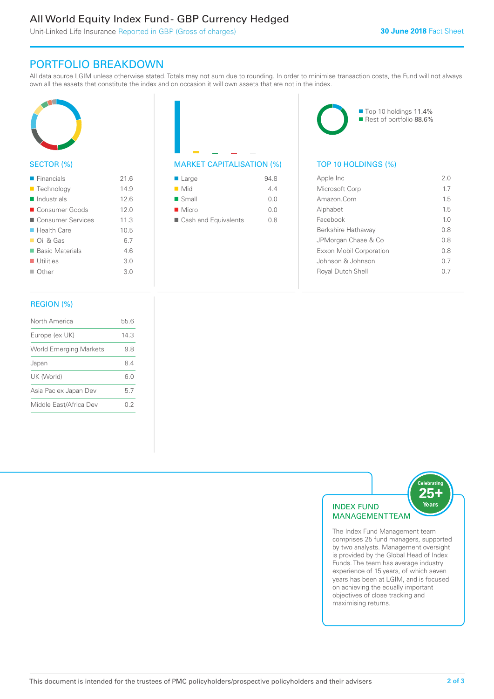### All World Equity Index Fund - GBP Currency Hedged

Unit-Linked Life Insurance Reported in GBP (Gross of charges)

### PORTFOLIO BREAKDOWN

All data source LGIM unless otherwise stated. Totals may not sum due to rounding. In order to minimise transaction costs, the Fund will not always own all the assets that constitute the index and on occasion it will own assets that are not in the index.



### SECTOR (%)

| $\blacksquare$ Financials | 216  |
|---------------------------|------|
| <b>Technology</b>         | 14.9 |
| Industrials               | 12.6 |
| ■ Consumer Goods          | 12.0 |
| ■ Consumer Services       | 11.3 |
| ■ Health Care             | 10.5 |
| $\Box$ Oil & Gas          | 6.7  |
| ■ Basic Materials         | 46   |
| $\blacksquare$ Utilities  | 3.0  |
| $\Box$ Other              | 3.0  |
|                           |      |

## MARKET CAPITALISATION (%) TOP 10 HOLDINGS (%)

| $\blacksquare$ Large | 94.8 |
|----------------------|------|
| $\blacksquare$ Mid   | 44   |
| $\blacksquare$ Small | 0.0  |
| $\blacksquare$ Micro | 0.0  |
| Cash and Equivalents | 0 8  |

■ Top 10 holdings 11.4% Rest of portfolio 88.6%

| Apple Inc                | 2 O            |
|--------------------------|----------------|
| Microsoft Corp           | 17             |
| Amazon Com               | 1.5            |
| Alphabet                 | 15             |
| Facebook                 | 1 <sub>0</sub> |
| Berkshire Hathaway       | 08             |
| JPMorgan Chase & Co      | 0 S            |
| Exxon Mobil Corporation  | 08             |
| Johnson & Johnson        | 0.7            |
| <b>Royal Dutch Shell</b> | ()             |
|                          |                |

### REGION (%)

| North America                 | 55.6 |
|-------------------------------|------|
| Europe (ex UK)                | 14.3 |
| <b>World Emerging Markets</b> | 9.8  |
| Japan                         | 84   |
| UK (World)                    | 6.0  |
| Asia Pac ex Japan Dev         | 5.7  |
| Middle East/Africa Dev        | 02   |
|                               |      |



The Index Fund Management team comprises 25 fund managers, supported by two analysts. Management oversight is provided by the Global Head of Index Funds. The team has average industry experience of 15 years, of which seven years has been at LGIM, and is focused on achieving the equally important objectives of close tracking and maximising returns.